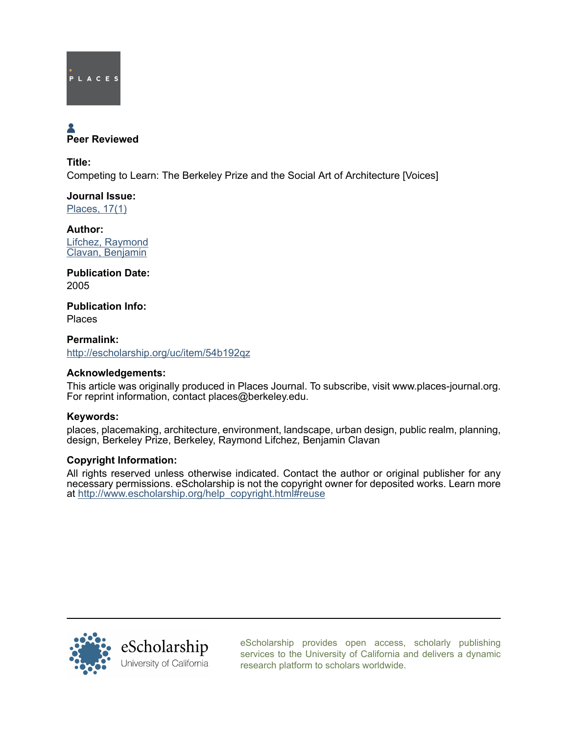

# Peer Reviewed

Title: Competing to Learn: The Berkeley Prize and the Social Art of Architecture [Voices]

Journal Issue: [Places, 17\(1\)](http://escholarship.org/uc/ced_places?volume=17;issue=1)

Author: [Lifchez, Raymond](http://escholarship.org/uc/search?creator=Lifchez%2C%20Raymond) [Clavan, Benjamin](http://escholarship.org/uc/search?creator=Clavan%2C%20Benjamin)

Publication Date: 2005

Publication Info: Places

Permalink: <http://escholarship.org/uc/item/54b192qz>

# Acknowledgements:

This article was originally produced in Places Journal. To subscribe, visit www.places-journal.org. For reprint information, contact places@berkeley.edu.

# Keywords:

places, placemaking, architecture, environment, landscape, urban design, public realm, planning, design, Berkeley Prize, Berkeley, Raymond Lifchez, Benjamin Clavan

# Copyright Information:

All rights reserved unless otherwise indicated. Contact the author or original publisher for any necessary permissions. eScholarship is not the copyright owner for deposited works. Learn more at [http://www.escholarship.org/help\\_copyright.html#reuse](http://www.escholarship.org/help_copyright.html#reuse)



[eScholarship provides open access, scholarly publishing](http://escholarship.org) [services to the University of California and delivers a dynamic](http://escholarship.org) [research platform to scholars worldwide.](http://escholarship.org)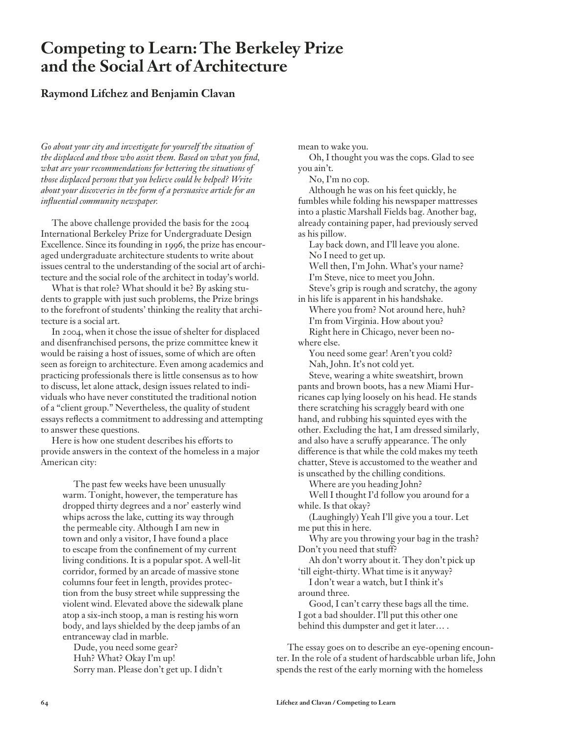# **Competing to Learn: The Berkeley Prize and the Social Art of Architecture**

# **Raymond Lifchez and Benjamin Clavan**

*Go about your city and investigate for yourself the situation of*  the displaced and those who assist them. Based on what you find, *what are your recommendations for bettering the situations of those displaced persons that you believe could be helped? Write about your discoveries in the form of a persuasive article for an infl uential community newspaper.*

The above challenge provided the basis for the 2004 International Berkeley Prize for Undergraduate Design Excellence. Since its founding in 1996, the prize has encouraged undergraduate architecture students to write about issues central to the understanding of the social art of architecture and the social role of the architect in today's world.

What is that role? What should it be? By asking students to grapple with just such problems, the Prize brings to the forefront of students' thinking the reality that architecture is a social art.

In 2004, when it chose the issue of shelter for displaced and disenfranchised persons, the prize committee knew it would be raising a host of issues, some of which are often seen as foreign to architecture. Even among academics and practicing professionals there is little consensus as to how to discuss, let alone attack, design issues related to individuals who have never constituted the traditional notion of a "client group." Nevertheless, the quality of student essays reflects a commitment to addressing and attempting to answer these questions.

Here is how one student describes his efforts to provide answers in the context of the homeless in a major American city:

The past few weeks have been unusually warm. Tonight, however, the temperature has dropped thirty degrees and a nor' easterly wind whips across the lake, cutting its way through the permeable city. Although I am new in town and only a visitor, I have found a place to escape from the confinement of my current living conditions. It is a popular spot. A well-lit corridor, formed by an arcade of massive stone columns four feet in length, provides protection from the busy street while suppressing the violent wind. Elevated above the sidewalk plane atop a six-inch stoop, a man is resting his worn body, and lays shielded by the deep jambs of an entranceway clad in marble.

Dude, you need some gear? Huh? What? Okay I'm up! Sorry man. Please don't get up. I didn't mean to wake you.

Oh, I thought you was the cops. Glad to see you ain't.

No, I'm no cop.

Although he was on his feet quickly, he fumbles while folding his newspaper mattresses into a plastic Marshall Fields bag. Another bag, already containing paper, had previously served as his pillow.

Lay back down, and I'll leave you alone. No I need to get up.

Well then, I'm John. What's your name? I'm Steve, nice to meet you John. Steve's grip is rough and scratchy, the agony

in his life is apparent in his handshake.

Where you from? Not around here, huh? I'm from Virginia. How about you? Right here in Chicago, never been nowhere else.

You need some gear! Aren't you cold? Nah, John. It's not cold yet.

Steve, wearing a white sweatshirt, brown pants and brown boots, has a new Miami Hurricanes cap lying loosely on his head. He stands there scratching his scraggly beard with one hand, and rubbing his squinted eyes with the other. Excluding the hat, I am dressed similarly, and also have a scruffy appearance. The only difference is that while the cold makes my teeth chatter, Steve is accustomed to the weather and is unscathed by the chilling conditions.

Where are you heading John?

Well I thought I'd follow you around for a while. Is that okay?

(Laughingly) Yeah I'll give you a tour. Let me put this in here.

Why are you throwing your bag in the trash? Don't you need that stuff?

Ah don't worry about it. They don't pick up 'till eight-thirty. What time is it anyway?

I don't wear a watch, but I think it's around three.

Good, I can't carry these bags all the time. I got a bad shoulder. I'll put this other one behind this dumpster and get it later… .

The essay goes on to describe an eye-opening encounter. In the role of a student of hardscabble urban life, John spends the rest of the early morning with the homeless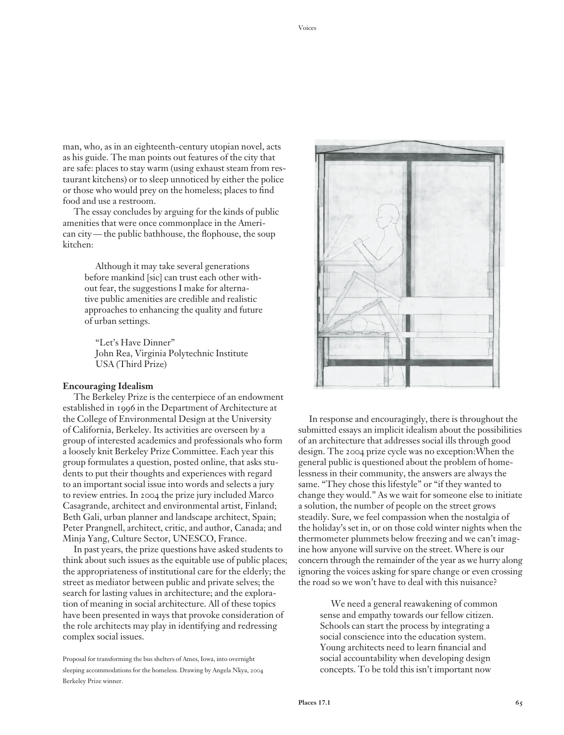man, who, as in an eighteenth-century utopian novel, acts as his guide. The man points out features of the city that are safe: places to stay warm (using exhaust steam from restaurant kitchens) or to sleep unnoticed by either the police or those who would prey on the homeless; places to find food and use a restroom.

The essay concludes by arguing for the kinds of public amenities that were once commonplace in the American city — the public bathhouse, the flophouse, the soup kitchen:

Although it may take several generations before mankind [sic] can trust each other without fear, the suggestions I make for alternative public amenities are credible and realistic approaches to enhancing the quality and future of urban settings.

"Let's Have Dinner" John Rea, Virginia Polytechnic Institute USA (Third Prize)

#### **Encouraging Idealism**

The Berkeley Prize is the centerpiece of an endowment established in 1996 in the Department of Architecture at the College of Environmental Design at the University of California, Berkeley. Its activities are overseen by a group of interested academics and professionals who form a loosely knit Berkeley Prize Committee. Each year this group formulates a question, posted online, that asks students to put their thoughts and experiences with regard to an important social issue into words and selects a jury to review entries. In 2004 the prize jury included Marco Casagrande, architect and environmental artist, Finland; Beth Gali, urban planner and landscape architect, Spain; Peter Prangnell, architect, critic, and author, Canada; and Minja Yang, Culture Sector, UNESCO, France.

In past years, the prize questions have asked students to think about such issues as the equitable use of public places; the appropriateness of institutional care for the elderly; the street as mediator between public and private selves; the search for lasting values in architecture; and the exploration of meaning in social architecture. All of these topics have been presented in ways that provoke consideration of the role architects may play in identifying and redressing complex social issues.

Proposal for transforming the bus shelters of Ames, Iowa, into overnight sleeping accommodations for the homeless. Drawing by Angela Nkya, 2004 Berkeley Prize winner.



In response and encouragingly, there is throughout the submitted essays an implicit idealism about the possibilities of an architecture that addresses social ills through good design. The 2004 prize cycle was no exception:When the general public is questioned about the problem of homelessness in their community, the answers are always the same. "They chose this lifestyle" or "if they wanted to change they would." As we wait for someone else to initiate a solution, the number of people on the street grows steadily. Sure, we feel compassion when the nostalgia of the holiday's set in, or on those cold winter nights when the thermometer plummets below freezing and we can't imagine how anyone will survive on the street. Where is our concern through the remainder of the year as we hurry along ignoring the voices asking for spare change or even crossing the road so we won't have to deal with this nuisance?

We need a general reawakening of common sense and empathy towards our fellow citizen. Schools can start the process by integrating a social conscience into the education system. Young architects need to learn financial and social accountability when developing design concepts. To be told this isn't important now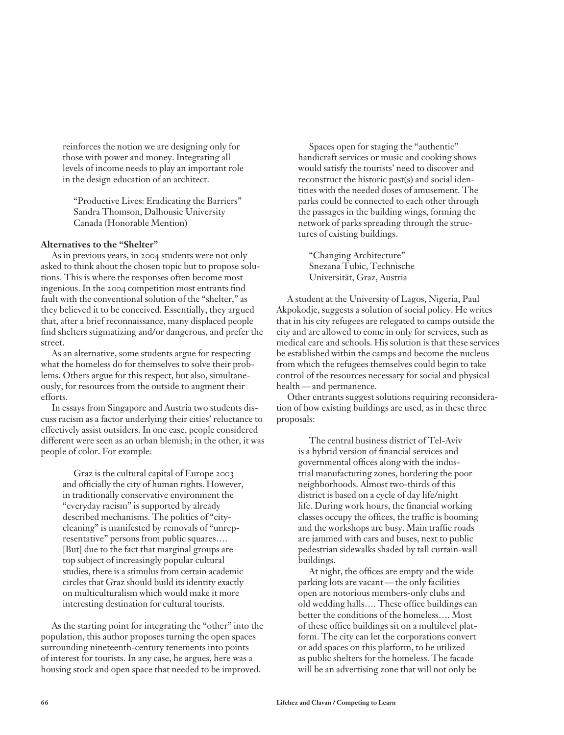reinforces the notion we are designing only for those with power and money. Integrating all levels of income needs to play an important role in the design education of an architect.

"Productive Lives: Eradicating the Barriers" Sandra Thomson, Dalhousie University Canada (Honorable Mention)

## **Alternatives to the "Shelter"**

As in previous years, in 2004 students were not only asked to think about the chosen topic but to propose solutions. This is where the responses often become most ingenious. In the 2004 competition most entrants find fault with the conventional solution of the "shelter," as they believed it to be conceived. Essentially, they argued that, after a brief reconnaissance, many displaced people find shelters stigmatizing and/or dangerous, and prefer the street.

As an alternative, some students argue for respecting what the homeless do for themselves to solve their problems. Others argue for this respect, but also, simultaneously, for resources from the outside to augment their efforts.

In essays from Singapore and Austria two students discuss racism as a factor underlying their cities' reluctance to effectively assist outsiders. In one case, people considered different were seen as an urban blemish; in the other, it was people of color. For example:

Graz is the cultural capital of Europe 2003 and officially the city of human rights. However, in traditionally conservative environment the "everyday racism" is supported by already described mechanisms. The politics of "citycleaning" is manifested by removals of "unrepresentative" persons from public squares…. [But] due to the fact that marginal groups are top subject of increasingly popular cultural studies, there is a stimulus from certain academic circles that Graz should build its identity exactly on multiculturalism which would make it more interesting destination for cultural tourists.

As the starting point for integrating the "other" into the population, this author proposes turning the open spaces surrounding nineteenth-century tenements into points of interest for tourists. In any case, he argues, here was a housing stock and open space that needed to be improved.

Spaces open for staging the "authentic" handicraft services or music and cooking shows would satisfy the tourists' need to discover and reconstruct the historic past(s) and social identities with the needed doses of amusement. The parks could be connected to each other through the passages in the building wings, forming the network of parks spreading through the structures of existing buildings.

"Changing Architecture" Snezana Tubic, Technische Universität, Graz, Austria

A student at the University of Lagos, Nigeria, Paul Akpokodje, suggests a solution of social policy. He writes that in his city refugees are relegated to camps outside the city and are allowed to come in only for services, such as medical care and schools. His solution is that these services be established within the camps and become the nucleus from which the refugees themselves could begin to take control of the resources necessary for social and physical health — and permanence.

Other entrants suggest solutions requiring reconsideration of how existing buildings are used, as in these three proposals:

The central business district of Tel-Aviv is a hybrid version of financial services and governmental offices along with the industrial manufacturing zones, bordering the poor neighborhoods. Almost two-thirds of this district is based on a cycle of day life/night life. During work hours, the financial working classes occupy the offices, the traffic is booming and the workshops are busy. Main traffic roads are jammed with cars and buses, next to public pedestrian sidewalks shaded by tall curtain-wall buildings.

At night, the offices are empty and the wide parking lots are vacant — the only facilities open are notorious members-only clubs and old wedding halls.... These office buildings can better the conditions of the homeless…. Most of these office buildings sit on a multilevel platform. The city can let the corporations convert or add spaces on this platform, to be utilized as public shelters for the homeless. The facade will be an advertising zone that will not only be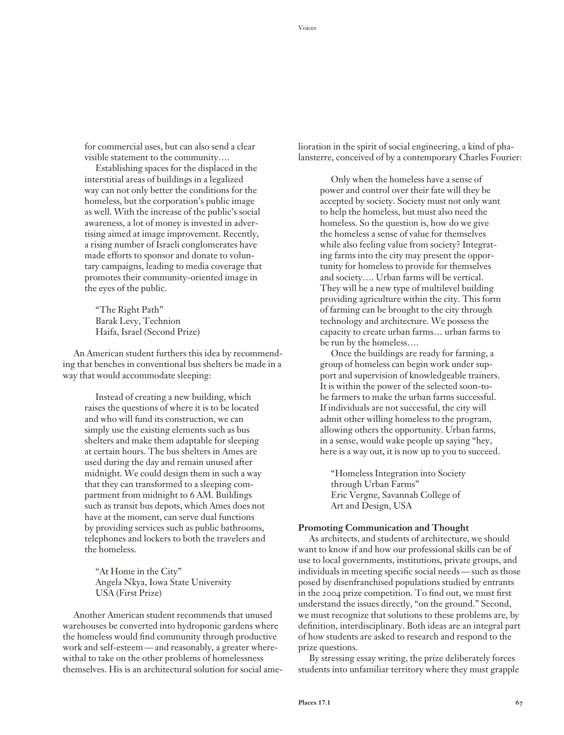for commercial uses, but can also send a clear visible statement to the community….

Establishing spaces for the displaced in the interstitial areas of buildings in a legalized way can not only better the conditions for the homeless, but the corporation's public image as well. With the increase of the public's social awareness, a lot of money is invested in advertising aimed at image improvement. Recently, a rising number of Israeli conglomerates have made efforts to sponsor and donate to voluntary campaigns, leading to media coverage that promotes their community-oriented image in the eyes of the public.

"The Right Path" Barak Levy, Technion Haifa, Israel (Second Prize)

An American student furthers this idea by recommending that benches in conventional bus shelters be made in a way that would accommodate sleeping:

Instead of creating a new building, which raises the questions of where it is to be located and who will fund its construction, we can simply use the existing elements such as bus shelters and make them adaptable for sleeping at certain hours. The bus shelters in Ames are used during the day and remain unused after midnight. We could design them in such a way that they can transformed to a sleeping compartment from midnight to 6 AM. Buildings such as transit bus depots, which Ames does not have at the moment, can serve dual functions by providing services such as public bathrooms, telephones and lockers to both the travelers and the homeless.

"At Home in the City" Angela Nkya, Iowa State University USA (First Prize)

Another American student recommends that unused warehouses be converted into hydroponic gardens where the homeless would find community through productive work and self-esteem — and reasonably, a greater wherewithal to take on the other problems of homelessness themselves. His is an architectural solution for social ame-

lioration in the spirit of social engineering, a kind of phalansterre, conceived of by a contemporary Charles Fourier:

Only when the homeless have a sense of power and control over their fate will they be accepted by society. Society must not only want to help the homeless, but must also need the homeless. So the question is, how do we give the homeless a sense of value for themselves while also feeling value from society? Integrating farms into the city may present the opportunity for homeless to provide for themselves and society…. Urban farms will be vertical. They will be a new type of multilevel building providing agriculture within the city. This form of farming can be brought to the city through technology and architecture. We possess the capacity to create urban farms… urban farms to be run by the homeless….

Once the buildings are ready for farming, a group of homeless can begin work under support and supervision of knowledgeable trainers. It is within the power of the selected soon-tobe farmers to make the urban farms successful. If individuals are not successful, the city will admit other willing homeless to the program, allowing others the opportunity. Urban farms, in a sense, would wake people up saying "hey, here is a way out, it is now up to you to succeed.

"Homeless Integration into Society through Urban Farms" Eric Vergne, Savannah College of Art and Design, USA

#### **Promoting Communication and Thought**

As architects, and students of architecture, we should want to know if and how our professional skills can be of use to local governments, institutions, private groups, and individuals in meeting specific social needs — such as those posed by disenfranchised populations studied by entrants in the 2004 prize competition. To find out, we must first understand the issues directly, "on the ground." Second, we must recognize that solutions to these problems are, by definition, interdisciplinary. Both ideas are an integral part of how students are asked to research and respond to the prize questions.

By stressing essay writing, the prize deliberately forces students into unfamiliar territory where they must grapple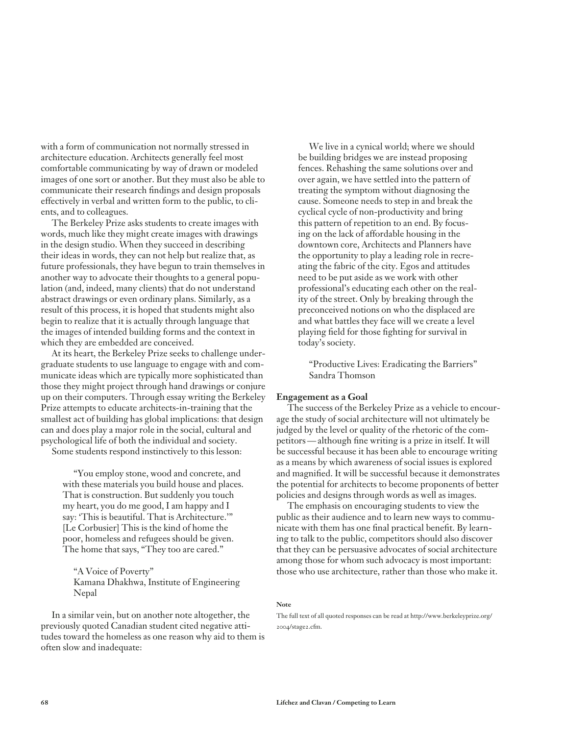with a form of communication not normally stressed in architecture education. Architects generally feel most comfortable communicating by way of drawn or modeled images of one sort or another. But they must also be able to communicate their research findings and design proposals effectively in verbal and written form to the public, to clients, and to colleagues.

The Berkeley Prize asks students to create images with words, much like they might create images with drawings in the design studio. When they succeed in describing their ideas in words, they can not help but realize that, as future professionals, they have begun to train themselves in another way to advocate their thoughts to a general population (and, indeed, many clients) that do not understand abstract drawings or even ordinary plans. Similarly, as a result of this process, it is hoped that students might also begin to realize that it is actually through language that the images of intended building forms and the context in which they are embedded are conceived.

At its heart, the Berkeley Prize seeks to challenge undergraduate students to use language to engage with and communicate ideas which are typically more sophisticated than those they might project through hand drawings or conjure up on their computers. Through essay writing the Berkeley Prize attempts to educate architects-in-training that the smallest act of building has global implications: that design can and does play a major role in the social, cultural and psychological life of both the individual and society.

Some students respond instinctively to this lesson:

"You employ stone, wood and concrete, and with these materials you build house and places. That is construction. But suddenly you touch my heart, you do me good, I am happy and I say: 'This is beautiful. That is Architecture.'" [Le Corbusier] This is the kind of home the poor, homeless and refugees should be given. The home that says, "They too are cared."

"A Voice of Poverty" Kamana Dhakhwa, Institute of Engineering Nepal

In a similar vein, but on another note altogether, the previously quoted Canadian student cited negative attitudes toward the homeless as one reason why aid to them is often slow and inadequate:

We live in a cynical world; where we should be building bridges we are instead proposing fences. Rehashing the same solutions over and over again, we have settled into the pattern of treating the symptom without diagnosing the cause. Someone needs to step in and break the cyclical cycle of non-productivity and bring this pattern of repetition to an end. By focusing on the lack of affordable housing in the downtown core, Architects and Planners have the opportunity to play a leading role in recreating the fabric of the city. Egos and attitudes need to be put aside as we work with other professional's educating each other on the reality of the street. Only by breaking through the preconceived notions on who the displaced are and what battles they face will we create a level playing field for those fighting for survival in today's society.

"Productive Lives: Eradicating the Barriers" Sandra Thomson

### **Engagement as a Goal**

The success of the Berkeley Prize as a vehicle to encourage the study of social architecture will not ultimately be judged by the level or quality of the rhetoric of the competitors — although fine writing is a prize in itself. It will be successful because it has been able to encourage writing as a means by which awareness of social issues is explored and magnified. It will be successful because it demonstrates the potential for architects to become proponents of better policies and designs through words as well as images.

The emphasis on encouraging students to view the public as their audience and to learn new ways to communicate with them has one final practical benefit. By learning to talk to the public, competitors should also discover that they can be persuasive advocates of social architecture among those for whom such advocacy is most important: those who use architecture, rather than those who make it.

#### **Note**

The full text of all quoted responses can be read at http://www.berkeleyprize.org/ 2004/stage2.cfm.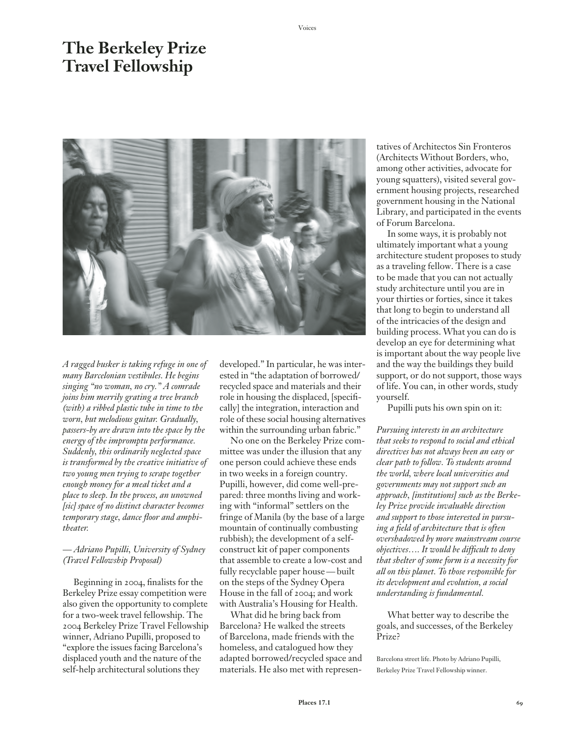# **The Berkeley Prize Travel Fellowship**



*A ragged busker is taking refuge in one of many Barcelonian vestibules. He begins singing "no woman, no cry." A comrade joins him merrily grating a tree branch (with) a ribbed plastic tube in time to the worn, but melodious guitar. Gradually, passers-by are drawn into the space by the energy of the impromptu performance. Suddenly, this ordinarily neglected space is transformed by the creative initiative of two young men trying to scrape together enough money for a meal ticket and a place to sleep. In the process, an unowned [sic] space of no distinct character becomes*  temporary stage, dance floor and amphi*theater.* 

# *— Adriano Pupilli, University of Sydney (Travel Fellowship Proposal)*

Beginning in 2004, finalists for the Berkeley Prize essay competition were also given the opportunity to complete for a two-week travel fellowship. The 2004 Berkeley Prize Travel Fellowship winner, Adriano Pupilli, proposed to "explore the issues facing Barcelona's displaced youth and the nature of the self-help architectural solutions they

developed." In particular, he was interested in "the adaptation of borrowed/ recycled space and materials and their role in housing the displaced, [specifi cally] the integration, interaction and role of these social housing alternatives within the surrounding urban fabric."

No one on the Berkeley Prize committee was under the illusion that any one person could achieve these ends in two weeks in a foreign country. Pupilli, however, did come well-prepared: three months living and working with "informal" settlers on the fringe of Manila (by the base of a large mountain of continually combusting rubbish); the development of a selfconstruct kit of paper components that assemble to create a low-cost and fully recyclable paper house — built on the steps of the Sydney Opera House in the fall of 2004; and work with Australia's Housing for Health.

What did he bring back from Barcelona? He walked the streets of Barcelona, made friends with the homeless, and catalogued how they adapted borrowed/recycled space and materials. He also met with representatives of Architectos Sin Fronteros (Architects Without Borders, who, among other activities, advocate for young squatters), visited several government housing projects, researched government housing in the National Library, and participated in the events of Forum Barcelona.

In some ways, it is probably not ultimately important what a young architecture student proposes to study as a traveling fellow. There is a case to be made that you can not actually study architecture until you are in your thirties or forties, since it takes that long to begin to understand all of the intricacies of the design and building process. What you can do is develop an eye for determining what is important about the way people live and the way the buildings they build support, or do not support, those ways of life. You can, in other words, study yourself.

Pupilli puts his own spin on it:

*Pursuing interests in an architecture that seeks to respond to social and ethical directives has not always been an easy or clear path to follow. To students around the world, where local universities and governments may not support such an approach, [institutions] such as the Berkeley Prize provide invaluable direction and support to those interested in pursuing a fi eld of architecture that is often overshadowed by more mainstream course objectives.... It would be difficult to deny that shelter of some form is a necessity for all on this planet. To those responsible for its development and evolution, a social understanding is fundamental.*

What better way to describe the goals, and successes, of the Berkeley Prize?

Barcelona street life. Photo by Adriano Pupilli, Berkeley Prize Travel Fellowship winner.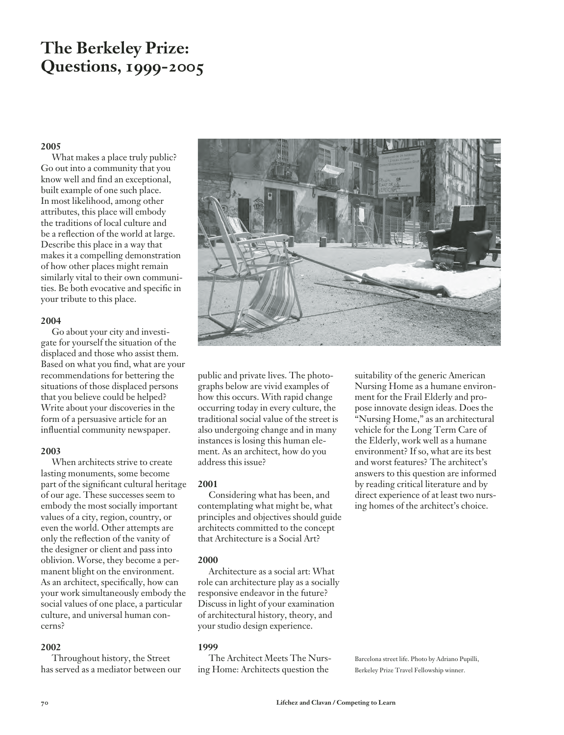# **The Berkeley Prize: Questions, 1999-2005**

# **2005**

What makes a place truly public? Go out into a community that you know well and find an exceptional, built example of one such place. In most likelihood, among other attributes, this place will embody the traditions of local culture and be a reflection of the world at large. Describe this place in a way that makes it a compelling demonstration of how other places might remain similarly vital to their own communities. Be both evocative and specific in your tribute to this place.

### **2004**

Go about your city and investigate for yourself the situation of the displaced and those who assist them. Based on what you find, what are your recommendations for bettering the situations of those displaced persons that you believe could be helped? Write about your discoveries in the form of a persuasive article for an influential community newspaper.

### **2003**

When architects strive to create lasting monuments, some become part of the significant cultural heritage of our age. These successes seem to embody the most socially important values of a city, region, country, or even the world. Other attempts are only the reflection of the vanity of the designer or client and pass into oblivion. Worse, they become a permanent blight on the environment. As an architect, specifically, how can your work simultaneously embody the social values of one place, a particular culture, and universal human concerns?

### **2002**

Throughout history, the Street has served as a mediator between our



public and private lives. The photographs below are vivid examples of how this occurs. With rapid change occurring today in every culture, the traditional social value of the street is also undergoing change and in many instances is losing this human element. As an architect, how do you address this issue?

### **2001**

Considering what has been, and contemplating what might be, what principles and objectives should guide architects committed to the concept that Architecture is a Social Art?

### **2000**

Architecture as a social art: What role can architecture play as a socially responsive endeavor in the future? Discuss in light of your examination of architectural history, theory, and your studio design experience.

### **1999**

The Architect Meets The Nursing Home: Architects question the

suitability of the generic American Nursing Home as a humane environment for the Frail Elderly and propose innovate design ideas. Does the "Nursing Home," as an architectural vehicle for the Long Term Care of the Elderly, work well as a humane environment? If so, what are its best and worst features? The architect's answers to this question are informed by reading critical literature and by direct experience of at least two nursing homes of the architect's choice.

Barcelona street life. Photo by Adriano Pupilli, Berkeley Prize Travel Fellowship winner.